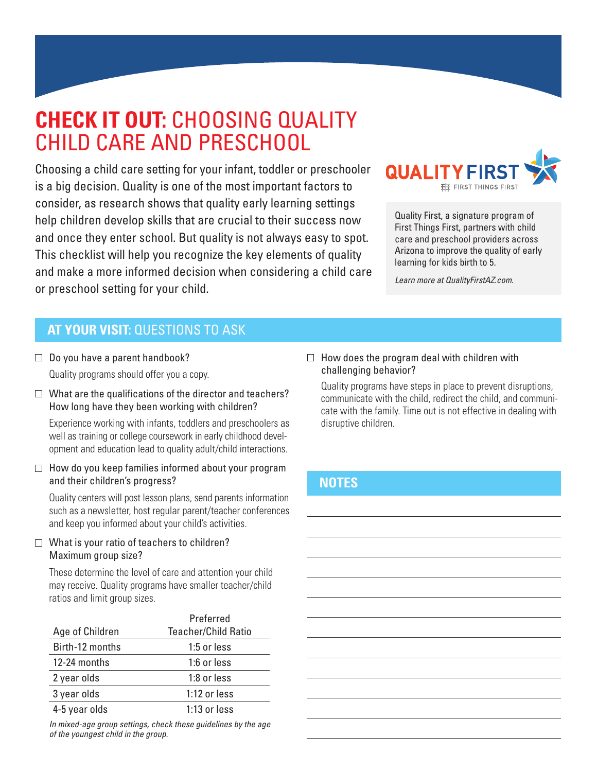# **CHECK IT OUT:** CHOOSING QUALITY CHILD CARE AND PRESCHOOL

Choosing a child care setting for your infant, toddler or preschooler is a big decision. Quality is one of the most important factors to consider, as research shows that quality early learning settings help children develop skills that are crucial to their success now and once they enter school. But quality is not always easy to spot. This checklist will help you recognize the key elements of quality and make a more informed decision when considering a child care or preschool setting for your child.



Quality First, a signature program of First Things First, partners with child care and preschool providers across Arizona to improve the quality of early learning for kids birth to 5.

*Learn more at QualityFirstAZ.com.*

# **AT YOUR VISIT:** QUESTIONS TO ASK

- $\Box$  Do you have a parent handbook? Quality programs should offer you a copy.
- $\Box$  What are the qualifications of the director and teachers? How long have they been working with children?

Experience working with infants, toddlers and preschoolers as well as training or college coursework in early childhood development and education lead to quality adult/child interactions.

 $\Box$  How do you keep families informed about your program and their children's progress?

Quality centers will post lesson plans, send parents information such as a newsletter, host regular parent/teacher conferences and keep you informed about your child's activities.

#### $\Box$  What is your ratio of teachers to children? Maximum group size?

These determine the level of care and attention your child may receive. Quality programs have smaller teacher/child ratios and limit group sizes.

|                 | Preferred                  |
|-----------------|----------------------------|
| Age of Children | <b>Teacher/Child Ratio</b> |
| Birth-12 months | 1:5 or less                |
| 12-24 months    | 1:6 or less                |
| 2 year olds     | 1:8 or less                |
| 3 year olds     | $1:12$ or less             |
| 4-5 year olds   | 1:13 or less               |

*In mixed-age group settings, check these guidelines by the age of the youngest child in the group.*

#### $\Box$  How does the program deal with children with challenging behavior?

Quality programs have steps in place to prevent disruptions, communicate with the child, redirect the child, and communicate with the family. Time out is not effective in dealing with disruptive children.

## **NOTES**